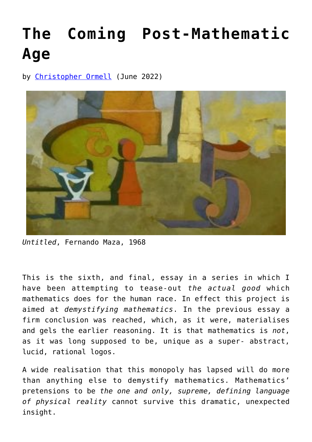## **[The Coming Post-Mathematic](https://www.newenglishreview.org/articles/the-coming-post-mathematic-age/) [Age](https://www.newenglishreview.org/articles/the-coming-post-mathematic-age/)**

by [Christopher Ormell](https://www.newenglishreview.org/authors/christopher-ormell/) (June 2022)



*Untitled*, Fernando Maza, 1968

This is the sixth, and final, essay in a series in which I have been attempting to tease-out *the actual good* which mathematics does for the human race. In effect this project is aimed at *demystifying mathematics*. In the previous essay a firm conclusion was reached, which, as it were, materialises and gels the earlier reasoning. It is that mathematics is *not*, as it was long supposed to be, unique as a super- abstract, lucid, rational logos.

A wide realisation that this monopoly has lapsed will do more than anything else to demystify mathematics. Mathematics' pretensions to be *the one and only, supreme, defining language of physical reality* cannot survive this dramatic, unexpected insight.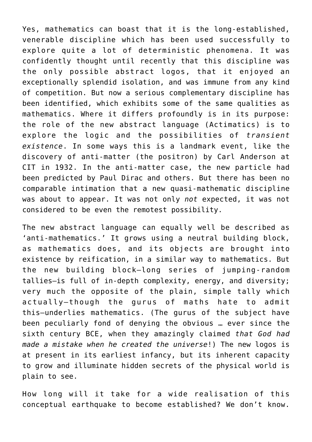Yes, mathematics can boast that it is the long-established, venerable discipline which has been used successfully to explore quite a lot of deterministic phenomena. It was confidently thought until recently that this discipline was the only possible abstract logos, that it enjoyed an exceptionally splendid isolation, and was immune from any kind of competition. But now a serious complementary discipline has been identified, which exhibits some of the same qualities as mathematics. Where it differs profoundly is in its purpose: the role of the new abstract language (Actimatics) is to explore the logic and the possibilities of *transient existence*. In some ways this is a landmark event, like the discovery of anti-matter (the positron) by Carl Anderson at CIT in 1932. In the anti-matter case, the new particle had been predicted by Paul Dirac and others. But there has been no comparable intimation that a new quasi-mathematic discipline was about to appear. It was not only *not* expected, it was not considered to be even the remotest possibility.

The new abstract language can equally well be described as 'anti-mathematics.' It grows using a neutral building block, as mathematics does, and its objects are brought into existence by reification, in a similar way to mathematics. But the new building block—long series of jumping-random tallies—is full of in-depth complexity, energy, and diversity; very much the opposite of the plain, simple tally which actually—though the gurus of maths hate to admit this—underlies mathematics. (The gurus of the subject have been peculiarly fond of denying the obvious … ever since the sixth century BCE, when they amazingly claimed *that God had made a mistake when he created the universe*!) The new logos is at present in its earliest infancy, but its inherent capacity to grow and illuminate hidden secrets of the physical world is plain to see.

How long will it take for a wide realisation of this conceptual earthquake to become established? We don't know.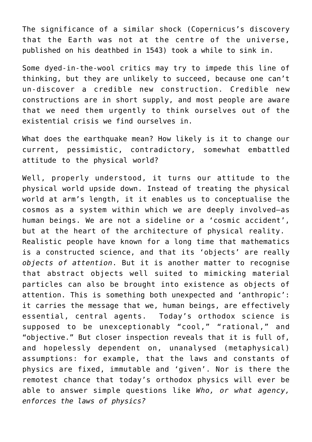The significance of a similar shock (Copernicus's discovery that the Earth was not at the centre of the universe, published on his deathbed in 1543) took a while to sink in.

Some dyed-in-the-wool critics may try to impede this line of thinking, but they are unlikely to succeed, because one can't un-discover a credible new construction. Credible new constructions are in short supply, and most people are aware that we need them urgently to think ourselves out of the existential crisis we find ourselves in.

What does the earthquake mean? How likely is it to change our current, pessimistic, contradictory, somewhat embattled attitude to the physical world?

Well, properly understood, it turns our attitude to the physical world upside down. Instead of treating the physical world at arm's length, it it enables us to conceptualise the cosmos as a system within which we are deeply involved—as human beings. We are not a sideline or a 'cosmic accident', but at the heart of the architecture of physical reality. Realistic people have known for a long time that mathematics is a constructed science, and that its 'objects' are really *objects of attention*. But it is another matter to recognise that abstract objects well suited to mimicking material particles can also be brought into existence as objects of attention. This is something both unexpected and 'anthropic': it carries the message that we, human beings, are effectively essential, central agents. Today's orthodox science is supposed to be unexceptionably "cool," "rational," and "objective." But closer inspection reveals that it is full of, and hopelessly dependent on, unanalysed (metaphysical) assumptions: for example, that the laws and constants of physics are fixed, immutable and 'given'. Nor is there the remotest chance that today's orthodox physics will ever be able to answer simple questions like *Who, or what agency, enforces the laws of physics?*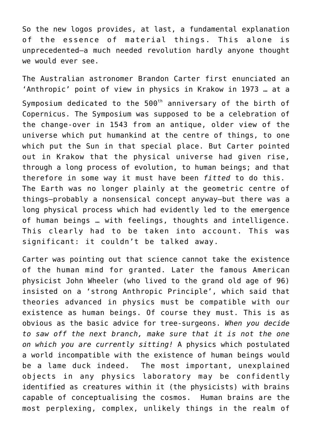So the new logos provides, at last, a fundamental explanation of the essence of material things. This alone is unprecedented—a much needed revolution hardly anyone thought we would ever see.

The Australian astronomer Brandon Carter first enunciated an 'Anthropic' point of view in physics in Krakow in 1973 … at a Symposium dedicated to the  $500<sup>th</sup>$  anniversary of the birth of Copernicus. The Symposium was supposed to be a celebration of the change-over in 1543 from an antique, older view of the universe which put humankind at the centre of things, to one which put the Sun in that special place. But Carter pointed out in Krakow that the physical universe had given rise, through a long process of evolution, to human beings; and that therefore in some way it must have been *fitted* to do this. The Earth was no longer plainly at the geometric centre of things—probably a nonsensical concept anyway—but there was a long physical process which had evidently led to the emergence of human beings … with feelings, thoughts and intelligence. This clearly had to be taken into account. This was significant: it couldn't be talked away.

Carter was pointing out that science cannot take the existence of the human mind for granted. Later the famous American physicist John Wheeler (who lived to the grand old age of 96) insisted on a 'strong Anthropic Principle', which said that theories advanced in physics must be compatible with our existence as human beings. Of course they must. This is as obvious as the basic advice for tree-surgeons. *When you decide to saw off the next branch, make sure that it is not the one on which you are currently sitting!* A physics which postulated a world incompatible with the existence of human beings would be a lame duck indeed. The most important, unexplained objects in any physics laboratory may be confidently identified as creatures within it (the physicists) with brains capable of conceptualising the cosmos. Human brains are the most perplexing, complex, unlikely things in the realm of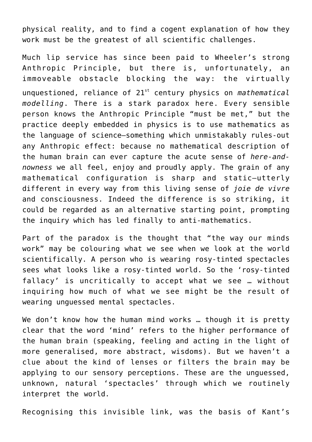physical reality, and to find a cogent explanation of how they work must be the greatest of all scientific challenges.

Much lip service has since been paid to Wheeler's strong Anthropic Principle, but there is, unfortunately, an immoveable obstacle blocking the way: the virtually unquestioned, reliance of 21st century physics on *mathematical modelling*. There is a stark paradox here. Every sensible person knows the Anthropic Principle "must be met," but the practice deeply embedded in physics is to use mathematics as the language of science—something which unmistakably rules-out any Anthropic effect: because no mathematical description of the human brain can ever capture the acute sense of *here-andnowness* we all feel, enjoy and proudly apply. The grain of any mathematical configuration is sharp and static—utterly different in every way from this living sense of *joie de vivre* and consciousness. Indeed the difference is so striking, it could be regarded as an alternative starting point, prompting the inquiry which has led finally to anti-mathematics.

Part of the paradox is the thought that "the way our minds work" may be colouring what we see when we look at the world scientifically. A person who is wearing rosy-tinted spectacles sees what looks like a rosy-tinted world. So the 'rosy-tinted fallacy' is uncritically to accept what we see … without inquiring how much of what we see might be the result of wearing unguessed mental spectacles.

We don't know how the human mind works … though it is pretty clear that the word 'mind' refers to the higher performance of the human brain (speaking, feeling and acting in the light of more generalised, more abstract, wisdoms). But we haven't a clue about the kind of lenses or filters the brain may be applying to our sensory perceptions. These are the unguessed, unknown, natural 'spectacles' through which we routinely interpret the world.

Recognising this invisible link, was the basis of Kant's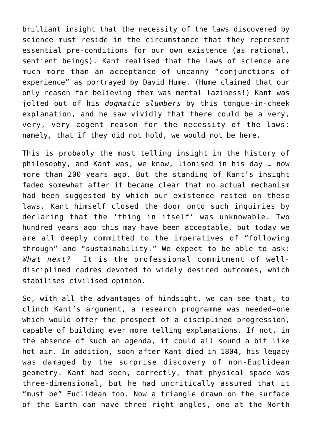brilliant insight that the necessity of the laws discovered by science must reside in the circumstance that they represent essential pre-conditions for our own existence (as rational, sentient beings). Kant realised that the laws of science are much more than an acceptance of uncanny "conjunctions of experience" as portrayed by David Hume. (Hume claimed that our only reason for believing them was mental laziness!) Kant was jolted out of his *dogmatic slumbers* by this tongue-in-cheek explanation, and he saw vividly that there could be a very, very, very cogent reason for the necessity of the laws: namely, that if they did not hold, we would not be here.

This is probably the most telling insight in the history of philosophy, and Kant was, we know, lionised in his day … now more than 200 years ago. But the standing of Kant's insight faded somewhat after it became clear that no actual mechanism had been suggested by which our existence rested on these laws. Kant himself closed the door onto such inquiries by declaring that the 'thing in itself' was unknowable. Two hundred years ago this may have been acceptable, but today we are all deeply committed to the imperatives of "following through" and "sustainability." We expect to be able to ask: *What next?* It is the professional commitment of welldisciplined cadres devoted to widely desired outcomes, which stabilises civilised opinion.

So, with all the advantages of hindsight, we can see that, to clinch Kant's argument, a research programme was needed—one which would offer the prospect of a disciplined progression, capable of building ever more telling explanations. If not, in the absence of such an agenda, it could all sound a bit like hot air. In addition, soon after Kant died in 1804, his legacy was damaged by the surprise discovery of non-Euclidean geometry. Kant had seen, correctly, that physical space was three-dimensional, but he had uncritically assumed that it "must be" Euclidean too. Now a triangle drawn on the surface of the Earth can have three right angles, one at the North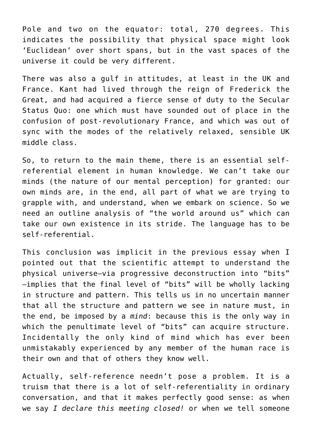Pole and two on the equator: total, 270 degrees. This indicates the possibility that physical space might look 'Euclidean' over short spans, but in the vast spaces of the universe it could be very different.

There was also a gulf in attitudes, at least in the UK and France. Kant had lived through the reign of Frederick the Great, and had acquired a fierce sense of duty to the Secular Status Quo: one which must have sounded out of place in the confusion of post-revolutionary France, and which was out of sync with the modes of the relatively relaxed, sensible UK middle class.

So, to return to the main theme, there is an essential selfreferential element in human knowledge. We can't take our minds (the nature of our mental perception) for granted: our own minds are, in the end, all part of what we are trying to grapple with, and understand, when we embark on science. So we need an outline analysis of "the world around us" which can take our own existence in its stride. The language has to be self-referential.

This conclusion was implicit in the previous essay when I pointed out that the scientific attempt to understand the physical universe—via progressive deconstruction into "bits" —implies that the final level of "bits" will be wholly lacking in structure and pattern. This tells us in no uncertain manner that all the structure and pattern we see in nature must, in the end, be imposed by a *mind*: because this is the only way in which the penultimate level of "bits" can acquire structure. Incidentally the only kind of mind which has ever been unmistakably experienced by any member of the human race is their own and that of others they know well.

Actually, self-reference needn't pose a problem. It is a truism that there is a lot of self-referentiality in ordinary conversation, and that it makes perfectly good sense: as when we say *I declare this meeting closed!* or when we tell someone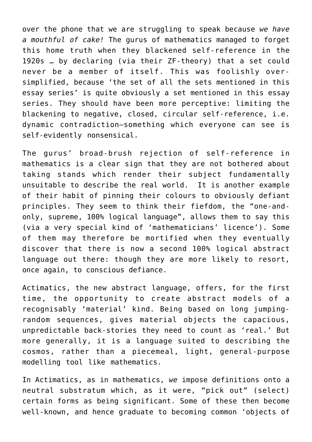over the phone that we are struggling to speak because *we have a mouthful of cake!* The gurus of mathematics managed to forget this home truth when they blackened self-reference in the 1920s … by declaring (via their ZF-theory) that a set could never be a member of itself. This was foolishly oversimplified, because 'the set of all the sets mentioned in this essay series' is quite obviously a set mentioned in this essay series. They should have been more perceptive: limiting the blackening to negative, closed, circular self-reference, i.e. dynamic contradiction—something which everyone can see is self-evidently nonsensical.

The gurus' broad-brush rejection of self-reference in mathematics is a clear sign that they are not bothered about taking stands which render their subject fundamentally unsuitable to describe the real world. It is another example of their habit of pinning their colours to obviously defiant principles. They seem to think their fiefdom, the "one-andonly, supreme, 100% logical language", allows them to say this (via a very special kind of 'mathematicians' licence'). Some of them may therefore be mortified when they eventually discover that there is now a second 100% logical abstract language out there: though they are more likely to resort, once again, to conscious defiance.

Actimatics, the new abstract language, offers, for the first time, the opportunity to create abstract models of a recognisably 'material' kind. Being based on long jumpingrandom sequences, gives material objects the capacious, unpredictable back-stories they need to count as 'real.' But more generally, it is a language suited to describing the cosmos, rather than a piecemeal, light, general-purpose modelling tool like mathematics.

In Actimatics, as in mathematics, *we* impose definitions onto a neutral substratum which, as it were, "pick out" (select) certain forms as being significant. Some of these then become well-known, and hence graduate to becoming common 'objects of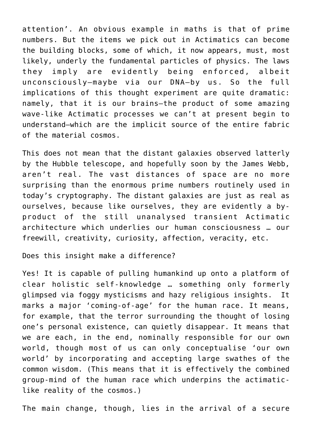attention'. An obvious example in maths is that of prime numbers. But the items we pick out in Actimatics can become the building blocks, some of which, it now appears, must, most likely, underly the fundamental particles of physics. The laws they imply are evidently being enforced, albeit unconsciously—maybe via our DNA—by us. So the full implications of this thought experiment are quite dramatic: namely, that it is our brains—the product of some amazing wave-like Actimatic processes we can't at present begin to understand—which are the implicit source of the entire fabric of the material cosmos.

This does not mean that the distant galaxies observed latterly by the Hubble telescope, and hopefully soon by the James Webb, aren't real. The vast distances of space are no more surprising than the enormous prime numbers routinely used in today's cryptography. The distant galaxies are just as real as ourselves, because like ourselves, they are evidently a byproduct of the still unanalysed transient Actimatic architecture which underlies our human consciousness … our freewill, creativity, curiosity, affection, veracity, etc.

Does this insight make a difference?

Yes! It is capable of pulling humankind up onto a platform of clear holistic self-knowledge … something only formerly glimpsed via foggy mysticisms and hazy religious insights. It marks a major 'coming-of-age' for the human race. It means, for example, that the terror surrounding the thought of losing one's personal existence, can quietly disappear. It means that we are each, in the end, nominally responsible for our own world, though most of us can only conceptualise 'our own world' by incorporating and accepting large swathes of the common wisdom. (This means that it is effectively the combined group-mind of the human race which underpins the actimaticlike reality of the cosmos.)

The main change, though, lies in the arrival of a secure